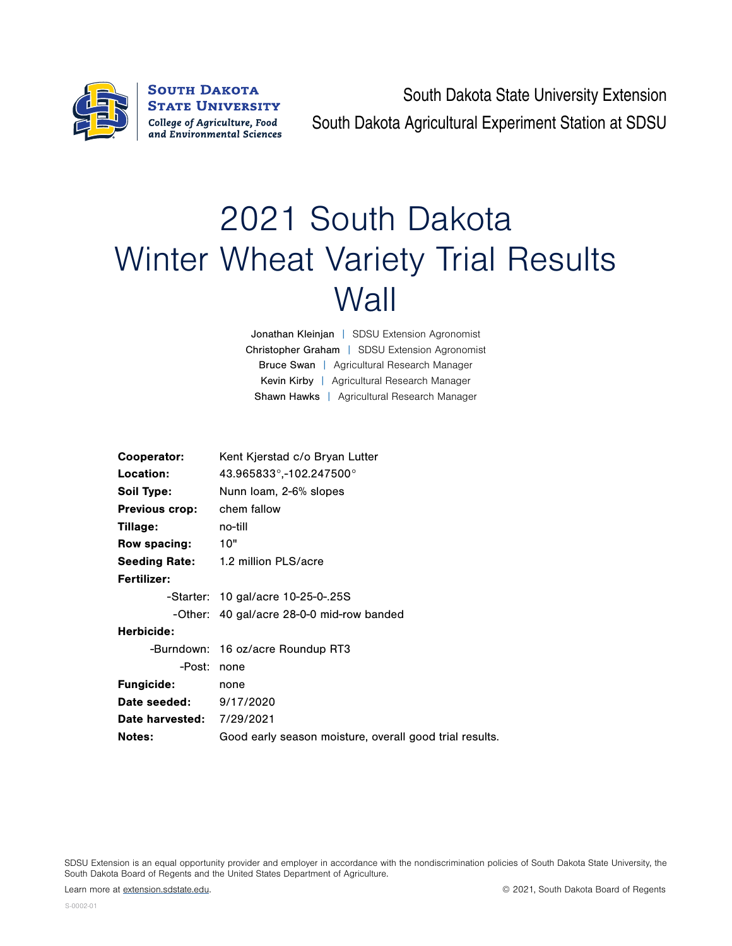

South Dakota State University Extension South Dakota Agricultural Experiment Station at SDSU

## 2021 South Dakota Winter Wheat Variety Trial Results **Wall**

Jonathan Kleinjan | SDSU Extension Agronomist Christopher Graham | SDSU Extension Agronomist Bruce Swan | Agricultural Research Manager Kevin Kirby | Agricultural Research Manager Shawn Hawks | Agricultural Research Manager

| Cooperator:                      | Kent Kjerstad c/o Bryan Lutter                          |
|----------------------------------|---------------------------------------------------------|
| Location:                        | $43.965833^{\circ}$ ,-102.247500 $^{\circ}$             |
| Soil Type:                       | Nunn Ioam, 2-6% slopes                                  |
| <b>Previous crop:</b>            | chem fallow                                             |
| Tillage:                         | no-till                                                 |
| Row spacing:                     | 10"                                                     |
|                                  | <b>Seeding Rate:</b> 1.2 million PLS/acre               |
| Fertilizer:                      |                                                         |
|                                  | -Starter: 10 gal/acre 10-25-0-.25S                      |
|                                  | -Other: 40 gal/acre 28-0-0 mid-row banded               |
| Herbicide:                       |                                                         |
|                                  | -Burndown: 16 oz/acre Roundup RT3                       |
| -Post:                           | none                                                    |
| <b>Fungicide:</b>                | none                                                    |
| Date seeded:                     | 9/17/2020                                               |
| <b>Date harvested: 7/29/2021</b> |                                                         |
| <b>Notes:</b>                    | Good early season moisture, overall good trial results. |

SDSU Extension is an equal opportunity provider and employer in accordance with the nondiscrimination policies of South Dakota State University, the South Dakota Board of Regents and the United States Department of Agriculture.